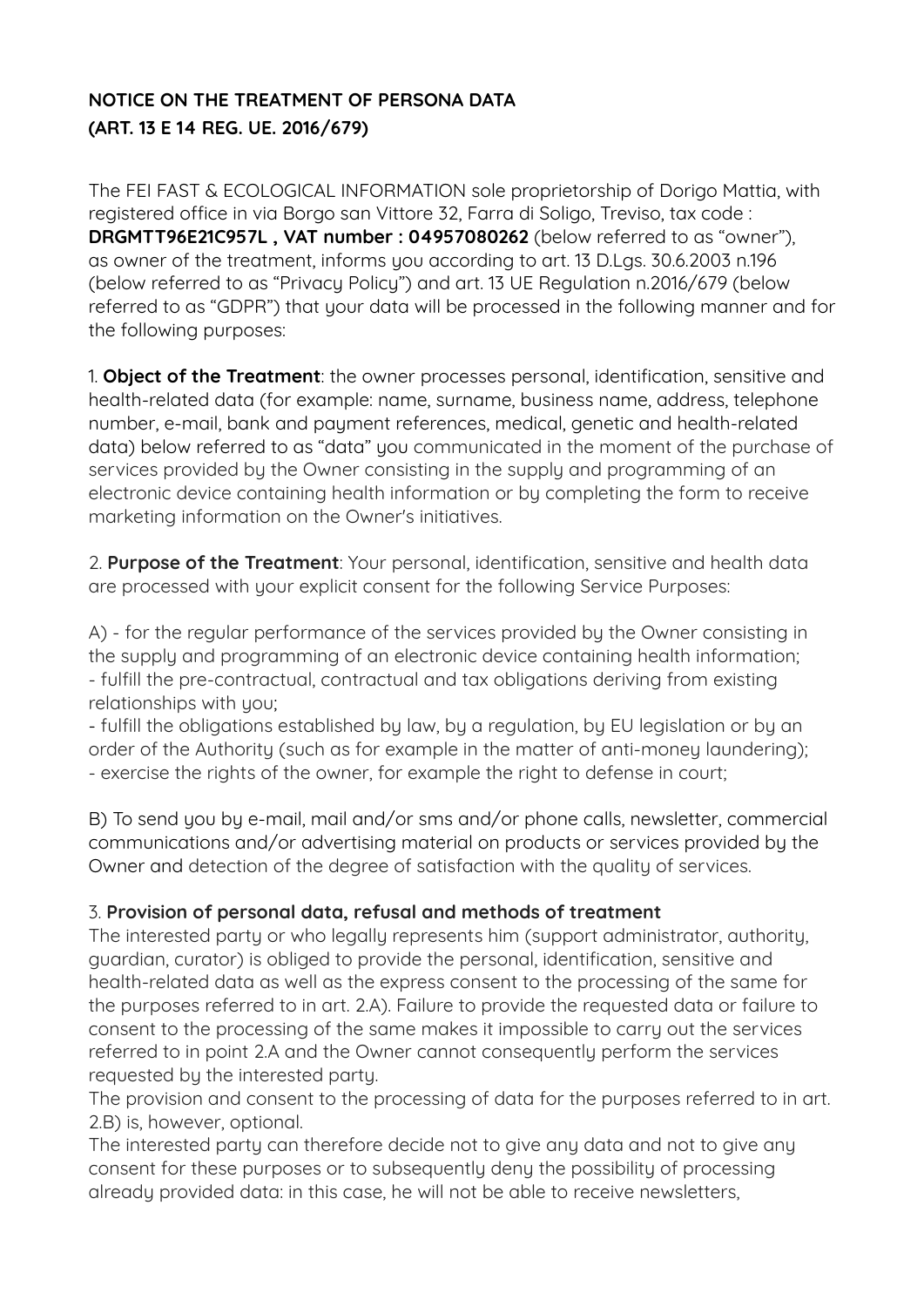# **NOTICE ON THE TREATMENT OF PERSONA DATA (ART. 13 E 14 REG. UE. 2016/679)**

The FEI FAST & ECOLOGICAL INFORMATION sole proprietorship of Dorigo Mattia, with registered office in via Borgo san Vittore 32, Farra di Soligo, Treviso, tax code : **DRGMTT96E21C957L , VAT number : 04957080262** (below referred to as "owner"), as owner of the treatment, informs you according to art. 13 D.Lgs. 30.6.2003 n.196 (below referred to as "Privacy Policy") and art. 13 UE Regulation n.2016/679 (below referred to as "GDPR") that your data will be processed in the following manner and for the following purposes:

1. **Object of the Treatment**: the owner processes personal, identification, sensitive and health-related data (for example: name, surname, business name, address, telephone number, e-mail, bank and payment references, medical, genetic and health-related data) below referred to as "data" you communicated in the moment of the purchase of services provided by the Owner consisting in the supply and programming of an electronic device containing health information or by completing the form to receive marketing information on the Owner's initiatives.

2. **Purpose of the Treatment**: Your personal, identification, sensitive and health data are processed with your explicit consent for the following Service Purposes:

A) - for the regular performance of the services provided by the Owner consisting in the supply and programming of an electronic device containing health information; - fulfill the pre-contractual, contractual and tax obligations deriving from existing relationships with you;

- fulfill the obligations established by law, by a regulation, by EU legislation or by an order of the Authority (such as for example in the matter of anti-money laundering); - exercise the rights of the owner, for example the right to defense in court;

B) To send you by e-mail, mail and/or sms and/or phone calls, newsletter, commercial communications and/or advertising material on products or services provided by the Owner and detection of the degree of satisfaction with the quality of services.

## 3. **Provision of personal data, refusal and methods of treatment**

The interested party or who legally represents him (support administrator, authority, guardian, curator) is obliged to provide the personal, identification, sensitive and health-related data as well as the express consent to the processing of the same for the purposes referred to in art. 2.A). Failure to provide the requested data or failure to consent to the processing of the same makes it impossible to carry out the services referred to in point 2.A and the Owner cannot consequently perform the services requested by the interested party.

The provision and consent to the processing of data for the purposes referred to in art. 2.B) is, however, optional.

The interested party can therefore decide not to give any data and not to give any consent for these purposes or to subsequently deny the possibility of processing already provided data: in this case, he will not be able to receive newsletters,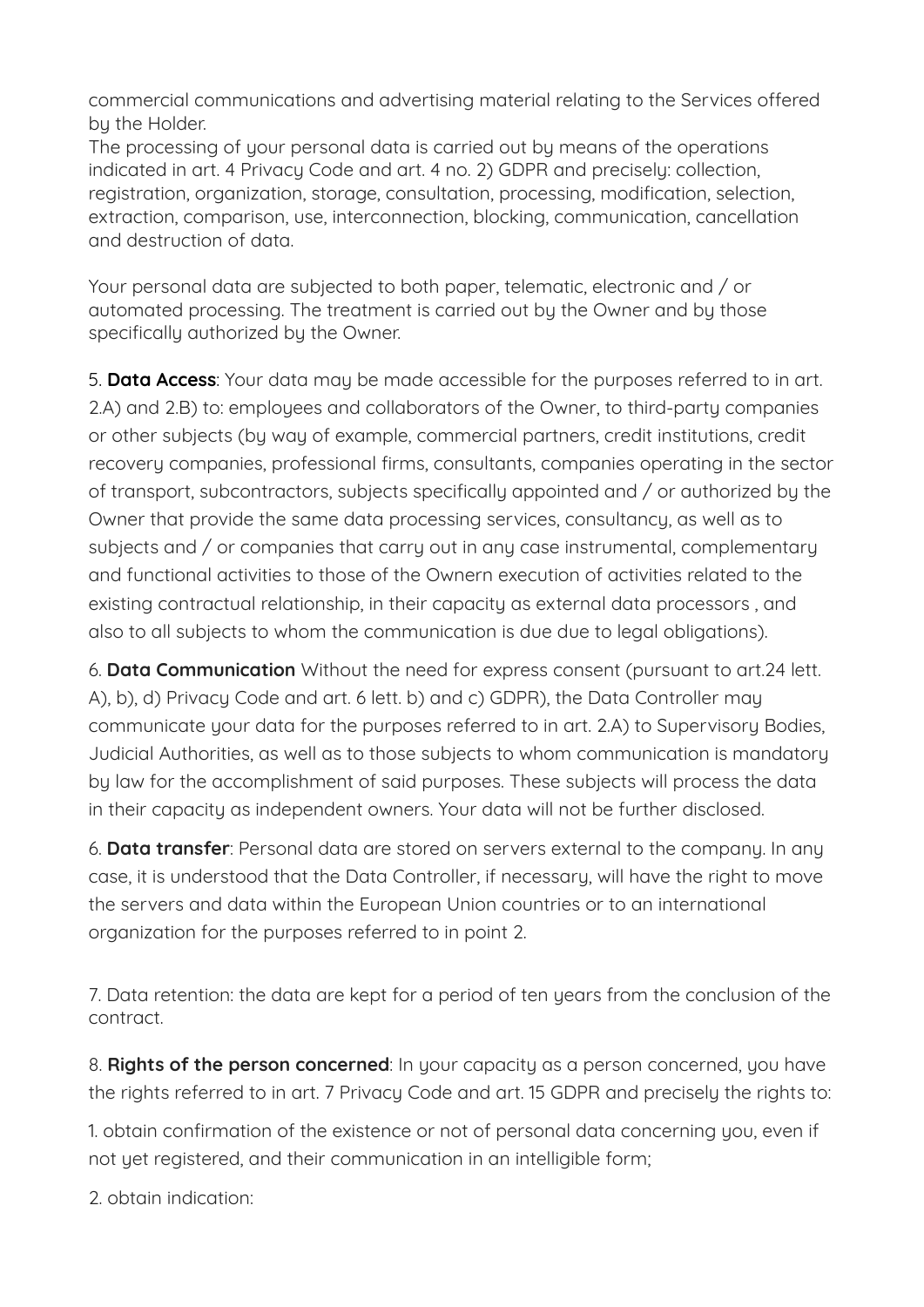commercial communications and advertising material relating to the Services ofered by the Holder.

The processing of your personal data is carried out by means of the operations indicated in art. 4 Privacy Code and art. 4 no. 2) GDPR and precisely: collection, registration, organization, storage, consultation, processing, modification, selection, extraction, comparison, use, interconnection, blocking, communication, cancellation and destruction of data.

Your personal data are subjected to both paper, telematic, electronic and / or automated processing. The treatment is carried out by the Owner and by those specifically authorized by the Owner.

5. **Data Access**: Your data may be made accessible for the purposes referred to in art. 2.A) and 2.B) to: employees and collaborators of the Owner, to third-party companies or other subjects (by way of example, commercial partners, credit institutions, credit recovery companies, professional firms, consultants, companies operating in the sector of transport, subcontractors, subjects specifically appointed and / or authorized by the Owner that provide the same data processing services, consultancy, as well as to subjects and / or companies that carry out in any case instrumental, complementary and functional activities to those of the Ownern execution of activities related to the existing contractual relationship, in their capacity as external data processors , and also to all subjects to whom the communication is due due to legal obligations).

6. **Data Communication** Without the need for express consent (pursuant to art.24 lett. A), b), d) Privacy Code and art. 6 lett. b) and c) GDPR), the Data Controller may communicate your data for the purposes referred to in art. 2.A) to Supervisory Bodies, Judicial Authorities, as well as to those subjects to whom communication is mandatory by law for the accomplishment of said purposes. These subjects will process the data in their capacity as independent owners. Your data will not be further disclosed.

6. **Data transfer**: Personal data are stored on servers external to the company. In any case, it is understood that the Data Controller, if necessary, will have the right to move the servers and data within the European Union countries or to an international organization for the purposes referred to in point 2.

7. Data retention: the data are kept for a period of ten years from the conclusion of the contract.

8. **Rights of the person concerned**: In your capacity as a person concerned, you have the rights referred to in art. 7 Privacy Code and art. 15 GDPR and precisely the rights to:

1. obtain confirmation of the existence or not of personal data concerning you, even if not yet registered, and their communication in an intelligible form;

2. obtain indication: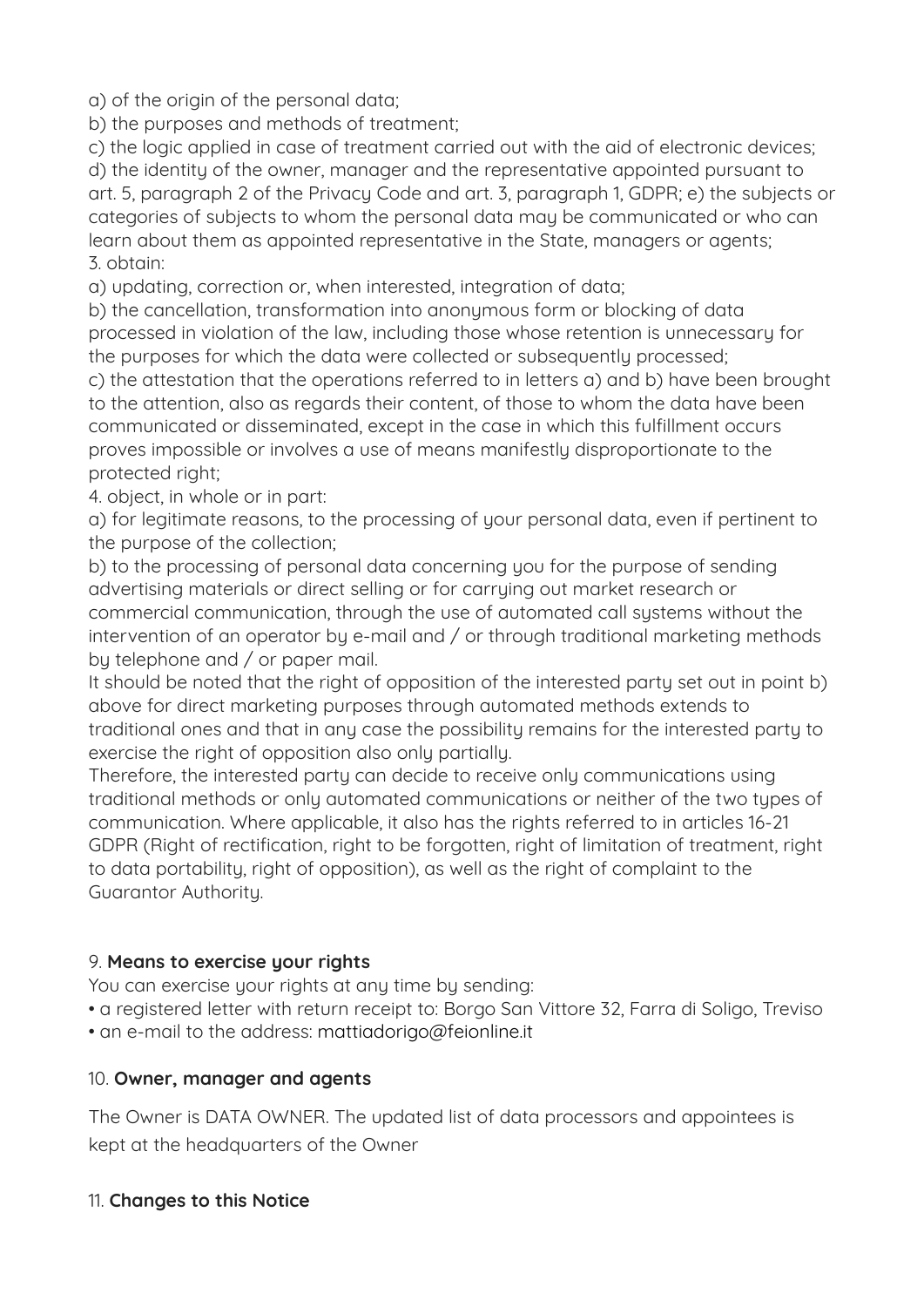a) of the origin of the personal data;

b) the purposes and methods of treatment;

c) the logic applied in case of treatment carried out with the aid of electronic devices; d) the identity of the owner, manager and the representative appointed pursuant to art. 5, paragraph 2 of the Privacy Code and art. 3, paragraph 1, GDPR; e) the subjects or categories of subjects to whom the personal data may be communicated or who can learn about them as appointed representative in the State, managers or agents; 3. obtain:

a) updating, correction or, when interested, integration of data;

b) the cancellation, transformation into anonymous form or blocking of data processed in violation of the law, including those whose retention is unnecessary for the purposes for which the data were collected or subsequently processed;

c) the attestation that the operations referred to in letters a) and b) have been brought to the attention, also as regards their content, of those to whom the data have been communicated or disseminated, except in the case in which this fulfillment occurs proves impossible or involves a use of means manifestly disproportionate to the protected right;

4. object, in whole or in part:

a) for legitimate reasons, to the processing of your personal data, even if pertinent to the purpose of the collection;

b) to the processing of personal data concerning you for the purpose of sending advertising materials or direct selling or for carrying out market research or commercial communication, through the use of automated call systems without the intervention of an operator by e-mail and / or through traditional marketing methods by telephone and / or paper mail.

It should be noted that the right of opposition of the interested party set out in point b) above for direct marketing purposes through automated methods extends to traditional ones and that in any case the possibility remains for the interested party to exercise the right of opposition also only partially.

Therefore, the interested party can decide to receive only communications using traditional methods or only automated communications or neither of the two types of communication. Where applicable, it also has the rights referred to in articles 16-21 GDPR (Right of rectification, right to be forgotten, right of limitation of treatment, right to data portability, right of opposition), as well as the right of complaint to the Guarantor Authority.

## 9. **Means to exercise your rights**

You can exercise your rights at any time by sending:

• a registered letter with return receipt to: Borgo San Vittore 32, Farra di Soligo, Treviso

• an e-mail to the address: [mattiadorigo@feionline.it](mailto:mattiadorigo@feionline.it)

### 10. **Owner, manager and agents**

The Owner is DATA OWNER. The updated list of data processors and appointees is kept at the headquarters of the Owner

## 11. **Changes to this Notice**